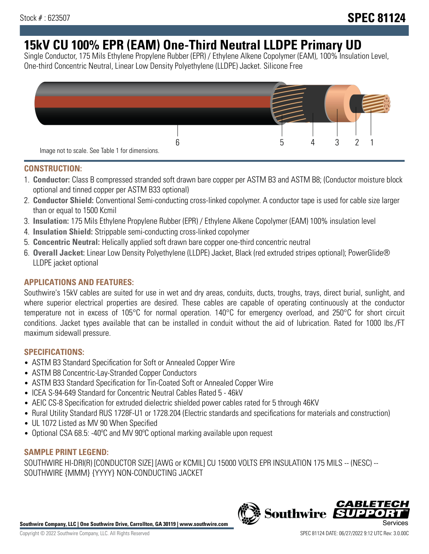# **15kV CU 100% EPR (EAM) One-Third Neutral LLDPE Primary UD**

Single Conductor, 175 Mils Ethylene Propylene Rubber (EPR) / Ethylene Alkene Copolymer (EAM), 100% Insulation Level, One-third Concentric Neutral, Linear Low Density Polyethylene (LLDPE) Jacket. Silicone Free



## **CONSTRUCTION:**

- 1. **Conductor:** Class B compressed stranded soft drawn bare copper per ASTM B3 and ASTM B8; (Conductor moisture block optional and tinned copper per ASTM B33 optional)
- 2. **Conductor Shield:** Conventional Semi-conducting cross-linked copolymer. A conductor tape is used for cable size larger than or equal to 1500 Kcmil
- 3. **Insulation:** 175 Mils Ethylene Propylene Rubber (EPR) / Ethylene Alkene Copolymer (EAM) 100% insulation level
- 4. **Insulation Shield:** Strippable semi-conducting cross-linked copolymer
- 5. **Concentric Neutral:** Helically applied soft drawn bare copper one-third concentric neutral
- 6. **Overall Jacket:** Linear Low Density Polyethylene (LLDPE) Jacket, Black (red extruded stripes optional); PowerGlide® LLDPE jacket optional

# **APPLICATIONS AND FEATURES:**

Southwire's 15kV cables are suited for use in wet and dry areas, conduits, ducts, troughs, trays, direct burial, sunlight, and where superior electrical properties are desired. These cables are capable of operating continuously at the conductor temperature not in excess of 105°C for normal operation. 140°C for emergency overload, and 250°C for short circuit conditions. Jacket types available that can be installed in conduit without the aid of lubrication. Rated for 1000 lbs./FT maximum sidewall pressure.

# **SPECIFICATIONS:**

- ASTM B3 Standard Specification for Soft or Annealed Copper Wire
- ASTM B8 Concentric-Lay-Stranded Copper Conductors
- ASTM B33 Standard Specification for Tin-Coated Soft or Annealed Copper Wire
- ICEA S-94-649 Standard for Concentric Neutral Cables Rated 5 46kV
- AEIC CS-8 Specification for extruded dielectric shielded power cables rated for 5 through 46KV
- Rural Utility Standard RUS 1728F-U1 or 1728.204 (Electric standards and specifications for materials and construction)
- UL 1072 Listed as MV 90 When Specified
- Optional CSA 68.5: -40°C and MV 90°C optional marking available upon request

#### **SAMPLE PRINT LEGEND:**

SOUTHWIRE HI-DRI(R) [CONDUCTOR SIZE] [AWG or KCMIL] CU 15000 VOLTS EPR INSULATION 175 MILS -- (NESC) -- SOUTHWIRE {MMM} {YYYY} NON-CONDUCTING JACKET